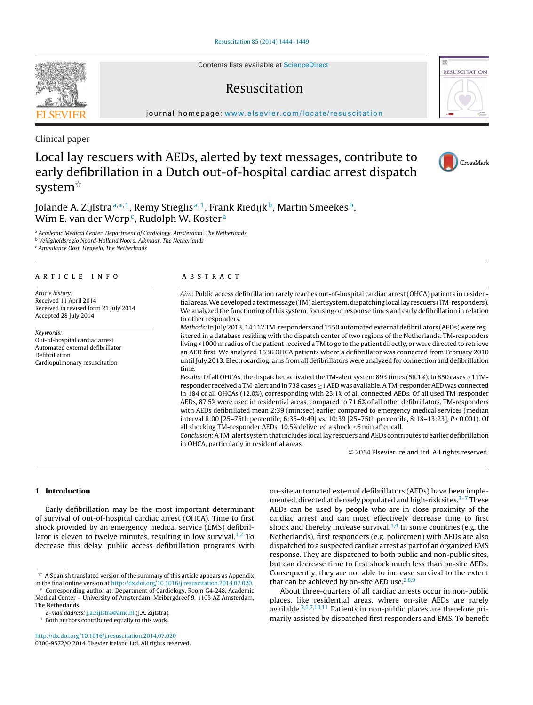Contents lists available at [ScienceDirect](http://www.sciencedirect.com/science/journal/03009572)

# Resuscitation

iournal homepage: [www.elsevier.com/locate/resuscitation](http://www.elsevier.com/locate/resuscitation)

Clinical paper

# Local lay rescuers with AEDs, alerted by text messages, contribute to early defibrillation in a Dutch out-of-hospital cardiac arrest dispatch system $^{\scriptscriptstyle \star}$

Jolande A. Zijlstra<sup>a,∗, 1</sup>, Remy Stieglis<sup>a, 1</sup>, Frank Riedijk<sup>b</sup>, Martin Smeekes<sup>b</sup>, Wim E. van der Worp<sup>c</sup>, Rudolph W. Koster<sup>a</sup>

<sup>a</sup> Academic Medical Center, Department of Cardiology, Amsterdam, The Netherlands

<sup>b</sup> Veiligheidsregio Noord-Holland Noord, Alkmaar, The Netherlands

<sup>c</sup> Ambulance Oost, Hengelo, The Netherlands

# a r t i c l e i n f o

Article history: Received 11 April 2014 Received in revised form 21 July 2014 Accepted 28 July 2014

Keywords: Out-of-hospital cardiac arrest Automated external defibrillator Defibrillation Cardiopulmonary resuscitation

#### A B S T R A C T

Aim: Public access defibrillation rarely reaches out-of-hospital cardiac arrest (OHCA) patients in residential areas. We developed a text message (TM) alert system, dispatching local lay rescuers (TM-responders). We analyzed the functioning of this system, focusing on response times and early defibrillation in relation to other responders.

Methods: In July 2013, 14 112 TM-responders and 1550 automated external defibrillators (AEDs) were registered in a database residing with the dispatch center of two regions of the Netherlands. TM-responders living <1000 m radius ofthe patient received a TM to go to the patient directly, or were directed to retrieve an AED first. We analyzed 1536 OHCA patients where a defibrillator was connected from February 2010 until July 2013. Electrocardiograms from all defibrillators were analyzed for connection and defibrillation time.

Results: Of all OHCAs, the dispatcher activated the TM-alert system 893 times (58.1%). In 850 cases  $\geq$ 1 TMresponder received a TM-alert and in 738 cases ≥1 AED was available. A TM-responder AED was connected in 184 of all OHCAs (12.0%), corresponding with 23.1% of all connected AEDs. Of all used TM-responder AEDs, 87.5% were used in residential areas, compared to 71.6% of all other defibrillators. TM-responders with AEDs defibrillated mean 2:39 (min:sec) earlier compared to emergency medical services (median interval 8:00 [25–75th percentile, 6:35–9:49] vs. 10:39 [25–75th percentile, 8:18–13:23], P < 0.001). Of all shocking TM-responder AEDs, 10.5% delivered a shock  $\leq$ 6 min after call.

Conclusion: A TM-alert system that includes local lay rescuers and AEDs contributes to earlier defibrillation in OHCA, particularly in residential areas.

© 2014 Elsevier Ireland Ltd. All rights reserved.

# **1. Introduction**

Early defibrillation may be the most important determinant of survival of out-of-hospital cardiac arrest (OHCA). Time to first shock provided by an emergency medical service (EMS) defibrillator is eleven to twelve minutes, resulting in low survival. $1,2$  To decrease this delay, public access defibrillation programs with

 $^{\rm 1}$  Both authors contributed equally to this work.

[http://dx.doi.org/10.1016/j.resuscitation.2014.07.020](dx.doi.org/10.1016/j.resuscitation.2014.07.020) 0300-9572/© 2014 Elsevier Ireland Ltd. All rights reserved.

on-site automated external defibrillators (AEDs) have been implemented, directed at densely populated and high-risk sites. $3-7$  These AEDs can be used by people who are in close proximity of the cardiac arrest and can most effectively decrease time to first shock and thereby increase survival.<sup>1,4</sup> In some countries (e.g. the Netherlands), first responders (e.g. policemen) with AEDs are also dispatched to a suspected cardiac arrest as part of an organized EMS response. They are dispatched to both public and non-public sites, but can decrease time to first shock much less than on-site AEDs. Consequently, they are not able to increase survival to the extent that can be achieved by on-site AED use. $2,8,9$ 

About three-quarters of all cardiac arrests occur in non-public places, like residential areas, where on-site AEDs are rarely available. $2,6,7,10,11$  Patients in non-public places are therefore primarily assisted by dispatched first responders and EMS. To benefit





CrossMark



 $^\star \,$  A Spanish translated version of the summary of this article appears as Appendix in the final online version at [http://dx.doi.org/10.1016/j.resuscitation.2014.07.020.](http://dx.doi.org/10.1016/j.resuscitation.2014.07.020)

<sup>∗</sup> Corresponding author at: Department of Cardiology, Room G4-248, Academic Medical Center – University of Amsterdam, Meibergdreef 9, 1105 AZ Amsterdam, The Netherlands.

E-mail address: [j.a.zijlstra@amc.nl](mailto:j.a.zijlstra@amc.nl) (J.A. Zijlstra).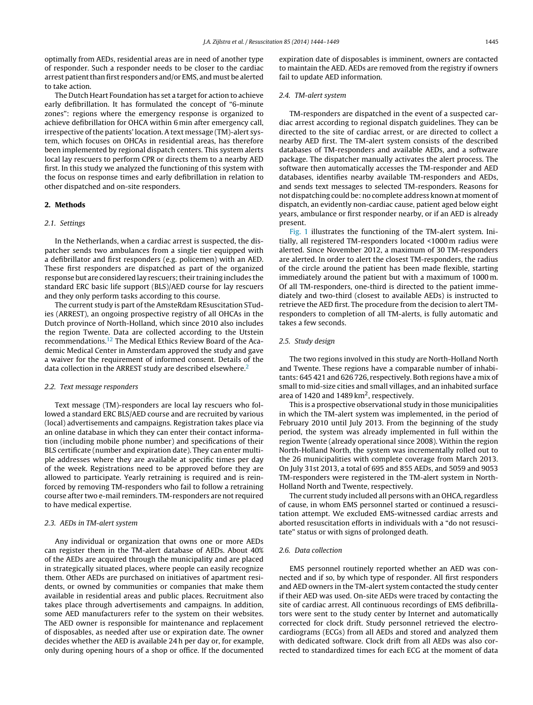optimally from AEDs, residential areas are in need of another type of responder. Such a responder needs to be closer to the cardiac arrest patient than first responders and/or EMS, and must be alerted to take action.

The Dutch Heart Foundation has set a target for action to achieve early defibrillation. It has formulated the concept of "6-minute zones": regions where the emergency response is organized to achieve defibrillation for OHCA within 6 min after emergency call, irrespective of the patients' location. A text message (TM)-alert system, which focuses on OHCAs in residential areas, has therefore been implemented by regional dispatch centers. This system alerts local lay rescuers to perform CPR or directs them to a nearby AED first. In this study we analyzed the functioning of this system with the focus on response times and early defibrillation in relation to other dispatched and on-site responders.

# **2. Methods**

#### 2.1. Settings

In the Netherlands, when a cardiac arrest is suspected, the dispatcher sends two ambulances from a single tier equipped with a defibrillator and first responders (e.g. policemen) with an AED. These first responders are dispatched as part of the organized response but are considered lay rescuers;their training includes the standard ERC basic life support (BLS)/AED course for lay rescuers and they only perform tasks according to this course.

The current study is part of the AmsteRdam REsuscitation STudies (ARREST), an ongoing prospective registry of all OHCAs in the Dutch province of North-Holland, which since 2010 also includes the region Twente. Data are collected according to the Utstein recommendations[.12](#page-5-0) The Medical Ethics Review Board of the Academic Medical Center in Amsterdam approved the study and gave a waiver for the requirement of informed consent. Details of the data collection in the ARREST study are described elsewhere.<sup>[2](#page-5-0)</sup>

#### 2.2. Text message responders

Text message (TM)-responders are local lay rescuers who followed a standard ERC BLS/AED course and are recruited by various (local) advertisements and campaigns. Registration takes place via an online database in which they can enter their contact information (including mobile phone number) and specifications of their BLS certificate (number and expiration date). They can enter multiple addresses where they are available at specific times per day of the week. Registrations need to be approved before they are allowed to participate. Yearly retraining is required and is reinforced by removing TM-responders who fail to follow a retraining course after two e-mail reminders. TM-responders are not required to have medical expertise.

# 2.3. AEDs in TM-alert system

Any individual or organization that owns one or more AEDs can register them in the TM-alert database of AEDs. About 40% of the AEDs are acquired through the municipality and are placed in strategically situated places, where people can easily recognize them. Other AEDs are purchased on initiatives of apartment residents, or owned by communities or companies that make them available in residential areas and public places. Recruitment also takes place through advertisements and campaigns. In addition, some AED manufacturers refer to the system on their websites. The AED owner is responsible for maintenance and replacement of disposables, as needed after use or expiration date. The owner decides whether the AED is available 24 h per day or, for example, only during opening hours of a shop or office. If the documented

expiration date of disposables is imminent, owners are contacted to maintain the AED. AEDs are removed from the registry if owners fail to update AED information.

# 2.4. TM-alert system

TM-responders are dispatched in the event of a suspected cardiac arrest according to regional dispatch guidelines. They can be directed to the site of cardiac arrest, or are directed to collect a nearby AED first. The TM-alert system consists of the described databases of TM-responders and available AEDs, and a software package. The dispatcher manually activates the alert process. The software then automatically accesses the TM-responder and AED databases, identifies nearby available TM-responders and AEDs, and sends text messages to selected TM-responders. Reasons for not dispatching could be: no complete address known at moment of dispatch, an evidently non-cardiac cause, patient aged below eight years, ambulance or first responder nearby, or if an AED is already present.

[Fig.](#page-2-0) 1 illustrates the functioning of the TM-alert system. Initially, all registered TM-responders located <1000 m radius were alerted. Since November 2012, a maximum of 30 TM-responders are alerted. In order to alert the closest TM-responders, the radius of the circle around the patient has been made flexible, starting immediately around the patient but with a maximum of 1000 m. Of all TM-responders, one-third is directed to the patient immediately and two-third (closest to available AEDs) is instructed to retrieve the AED first. The procedure from the decision to alert TMresponders to completion of all TM-alerts, is fully automatic and takes a few seconds.

# 2.5. Study design

The two regions involved in this study are North-Holland North and Twente. These regions have a comparable number of inhabitants: 645 421 and 626 726, respectively. Both regions have a mix of small to mid-size cities and small villages, and an inhabited surface area of 1420 and 1489  $km^2$ , respectively.

This is a prospective observational study in those municipalities in which the TM-alert system was implemented, in the period of February 2010 until July 2013. From the beginning of the study period, the system was already implemented in full within the region Twente (already operational since 2008). Within the region North-Holland North, the system was incrementally rolled out to the 26 municipalities with complete coverage from March 2013. On July 31st 2013, a total of 695 and 855 AEDs, and 5059 and 9053 TM-responders were registered in the TM-alert system in North-Holland North and Twente, respectively.

The current study included all persons with an OHCA, regardless of cause, in whom EMS personnel started or continued a resuscitation attempt. We excluded EMS-witnessed cardiac arrests and aborted resuscitation efforts in individuals with a "do not resuscitate" status or with signs of prolonged death.

#### 2.6. Data collection

EMS personnel routinely reported whether an AED was connected and if so, by which type of responder. All first responders and AED owners in the TM-alert system contacted the study center if their AED was used. On-site AEDs were traced by contacting the site of cardiac arrest. All continuous recordings of EMS defibrillators were sent to the study center by Internet and automatically corrected for clock drift. Study personnel retrieved the electrocardiograms (ECGs) from all AEDs and stored and analyzed them with dedicated software. Clock drift from all AEDs was also corrected to standardized times for each ECG at the moment of data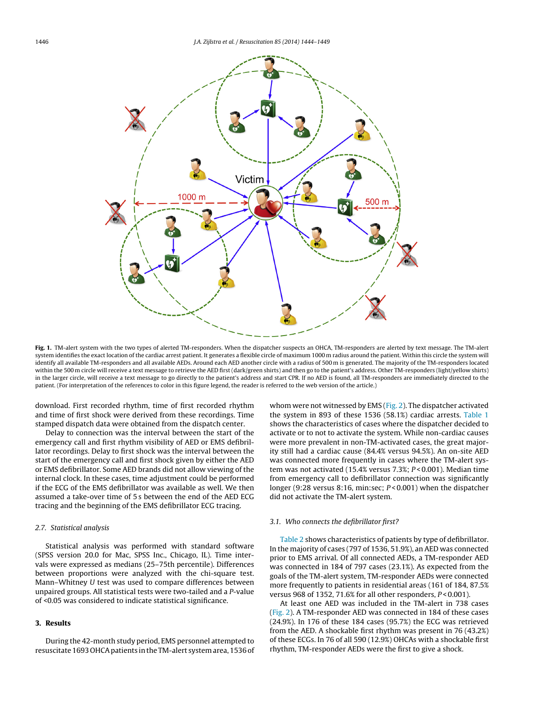<span id="page-2-0"></span>

**Fig. 1.** TM-alert system with the two types of alerted TM-responders. When the dispatcher suspects an OHCA, TM-responders are alerted by text message. The TM-alert system identifies the exact location of the cardiac arrest patient. It generates a flexible circle of maximum 1000 m radius around the patient. Within this circle the system will identify all available TM-responders and all available AEDs. Around each AED another circle with a radius of 500 m is generated. The majority of the TM-responders located within the 500 m circle will receive a text message to retrieve the AED first (dark/green shirts) and then go to the patient's address. Other TM-responders (light/yellow shirts) in the larger circle, will receive a text message to go directly to the patient's address and start CPR. If no AED is found, all TM-responders are immediately directed to the patient. (For interpretation of the references to color in this figure legend, the reader is referred to the web version of the article.)

download. First recorded rhythm, time of first recorded rhythm and time of first shock were derived from these recordings. Time stamped dispatch data were obtained from the dispatch center.

Delay to connection was the interval between the start of the emergency call and first rhythm visibility of AED or EMS defibrillator recordings. Delay to first shock was the interval between the start of the emergency call and first shock given by either the AED or EMS defibrillator. Some AED brands did not allow viewing of the internal clock. In these cases, time adjustment could be performed if the ECG of the EMS defibrillator was available as well. We then assumed a take-over time of 5 s between the end of the AED ECG tracing and the beginning of the EMS defibrillator ECG tracing.

# 2.7. Statistical analysis

Statistical analysis was performed with standard software (SPSS version 20.0 for Mac, SPSS Inc., Chicago, IL). Time intervals were expressed as medians (25–75th percentile). Differences between proportions were analyzed with the chi-square test. Mann–Whitney U test was used to compare differences between unpaired groups. All statistical tests were two-tailed and a P-value of <0.05 was considered to indicate statistical significance.

# **3. Results**

During the 42-month study period, EMS personnel attempted to resuscitate 1693 OHCA patients in the TM-alert system area, 1536 of whom were not witnessed by EMS ( $Fig. 2$  $Fig. 2$ ). The dispatcher activated the system in 893 of these 1536 (58.1%) cardiac arrests. [Table](#page-3-0) 1 shows the characteristics of cases where the dispatcher decided to activate or to not to activate the system. While non-cardiac causes were more prevalent in non-TM-activated cases, the great majority still had a cardiac cause (84.4% versus 94.5%). An on-site AED was connected more frequently in cases where the TM-alert system was not activated (15.4% versus 7.3%; P < 0.001). Median time from emergency call to defibrillator connection was significantly longer (9:28 versus 8:16, min:sec; P < 0.001) when the dispatcher did not activate the TM-alert system.

#### 3.1. Who connects the defibrillator first?

[Table](#page-4-0) 2 shows characteristics of patients by type of defibrillator. In the majority of cases (797 of 1536, 51.9%), an AED was connected prior to EMS arrival. Of all connected AEDs, a TM-responder AED was connected in 184 of 797 cases (23.1%). As expected from the goals of the TM-alert system, TM-responder AEDs were connected more frequently to patients in residential areas (161 of 184, 87.5% versus 968 of 1352, 71.6% for all other responders,  $P < 0.001$ ).

At least one AED was included in the TM-alert in 738 cases [\(Fig.](#page-3-0) 2). A TM-responder AED was connected in 184 of these cases (24.9%). In 176 of these 184 cases (95.7%) the ECG was retrieved from the AED. A shockable first rhythm was present in 76 (43.2%) of these ECGs. In 76 of all 590 (12.9%) OHCAs with a shockable first rhythm, TM-responder AEDs were the first to give a shock.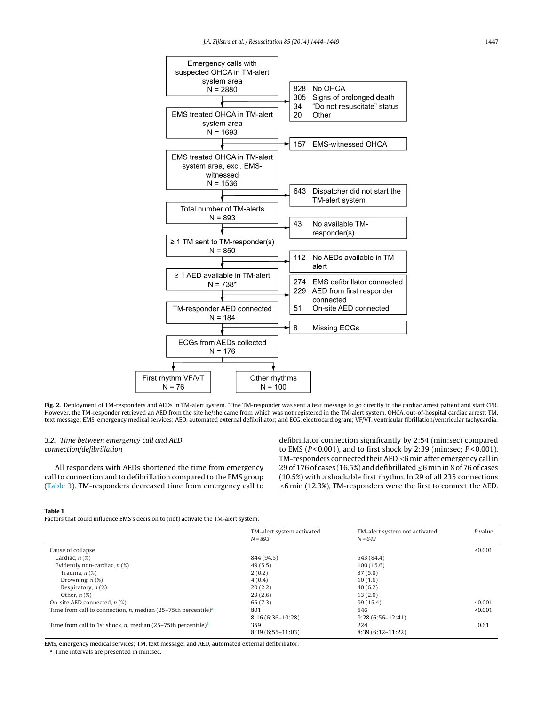<span id="page-3-0"></span>

**Fig. 2.** Deployment of TM-responders and AEDs in TM-alert system. \*One TM-responder was sent a text message to go directly to the cardiac arrest patient and start CPR. However, the TM-responder retrieved an AED from the site he/she came from which was not registered in the TM-alert system. OHCA, out-of-hospital cardiac arrest; TM, text message; EMS, emergency medical services; AED, automated external defibrillator; and ECG, electrocardiogram; VF/VT, ventricular fibrillation/ventricular tachycardia.

## 3.2. Time between emergency call and AED connection/defibrillation

All responders with AEDs shortened the time from emergency call to connection and to defibrillation compared to the EMS group ([Table](#page-4-0) 3). TM-responders decreased time from emergency call to defibrillator connection significantly by 2:54 (min:sec) compared to EMS ( $P < 0.001$ ), and to first shock by 2:39 (min:sec;  $P < 0.001$ ). TM-responders connected their AED  $\leq$ 6 min after emergency call in 29 of 176 of cases (16.5%) and defibrillated ≤6 min in 8 of 76 of cases (10.5%) with a shockable first rhythm. In 29 of all 235 connections ≤6 min (12.3%), TM-responders were the first to connect the AED.

#### **Table 1**

Factors that could influence EMS's decision to (not) activate the TM-alert system.

|                                                                              | TM-alert system activated<br>$N = 893$ | TM-alert system not activated<br>$N = 643$ | P value |
|------------------------------------------------------------------------------|----------------------------------------|--------------------------------------------|---------|
| Cause of collapse                                                            |                                        |                                            | < 0.001 |
| Cardiac, $n(\%)$                                                             | 844 (94.5)                             | 543 (84.4)                                 |         |
| Evidently non-cardiac, $n(x)$                                                | 49(5.5)                                | 100(15.6)                                  |         |
| Trauma, $n$ $(\%)$                                                           | 2(0.2)                                 | 37(5.8)                                    |         |
| Drowning, $n$ $(\%)$                                                         | 4(0.4)                                 | 10(1.6)                                    |         |
| Respiratory, $n$ (%)                                                         | 20(2.2)                                | 40(6.2)                                    |         |
| Other, $n(x)$                                                                | 23(2.6)                                | 13(2.0)                                    |         |
| On-site AED connected, $n$ (%)                                               | 65(7.3)                                | 99(15.4)                                   | < 0.001 |
| Time from call to connection, n, median $(25-75$ th percentile) <sup>a</sup> | 801                                    | 546                                        | < 0.001 |
|                                                                              | $8:16(6:36-10:28)$                     | $9:28(6:56-12:41)$                         |         |
| Time from call to 1st shock, n, median $(25-75$ th percentile) <sup>a</sup>  | 359                                    | 224                                        | 0.61    |
|                                                                              | $8:39(6:55-11:03)$                     | $8:39(6:12-11:22)$                         |         |
|                                                                              |                                        |                                            |         |

EMS, emergency medical services; TM, text message; and AED, automated external defibrillator. <sup>a</sup> Time intervals are presented in min:sec.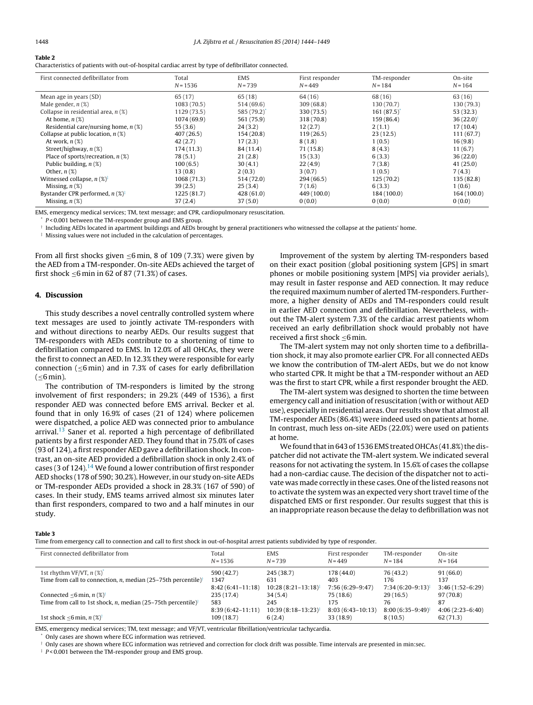# <span id="page-4-0"></span>**Table 2**

Characteristics of patients with out-of-hospital cardiac arrest by type of defibrillator connected.

| First connected defibrillator from                           | Total<br>$N = 1536$ | <b>EMS</b><br>$N = 739$ | First responder<br>$N = 449$ | TM-responder<br>$N = 184$ | On-site<br>$N = 164$ |
|--------------------------------------------------------------|---------------------|-------------------------|------------------------------|---------------------------|----------------------|
| Mean age in years (SD)                                       | 65(17)              | 65(18)                  | 64 (16)                      | 68 (16)                   | 63(16)               |
| Male gender, $n$ $(\%)$                                      | 1083 (70.5)         | 514(69.6)               | 309(68.8)                    | 130 (70.7)                | 130(79.3)            |
| Collapse in residential area, $n$ (%)                        | 1129 (73.5)         | 585 (79.2)              | 330 (73.5)                   | 161(87.5)                 | 53(32.3)             |
| At home, $n(\%)$                                             | 1074 (69.9)         | 561 (75.9)              | 318 (70.8)                   | 159 (86.4)                | 36(22.0)             |
| Residential care/nursing home, $n$ (%)                       | 55(3.6)             | 24(3.2)                 | 12(2.7)                      | 2(1.1)                    | 17(10.4)             |
| Collapse at public location, $n$ (%)                         | 407(26.5)           | 154 (20.8)              | 119(26.5)                    | 23(12.5)                  | 111(67.7)            |
| At work, $n(\%)$                                             | 42(2.7)             | 17(2.3)                 | 8(1.8)                       | 1(0.5)                    | 16(9.8)              |
| Street/highway, $n$ (%)                                      | 174(11.3)           | 84 (11.4)               | 71(15.8)                     | 8(4.3)                    | 11(6.7)              |
| Place of sports/recreation, $n$ (%)                          | 78(5.1)             | 21(2.8)                 | 15(3.3)                      | 6(3.3)                    | 36(22.0)             |
| Public building, $n$ (%)                                     | 100(6.5)            | 30(4.1)                 | 22(4.9)                      | 7(3.8)                    | 41(25.0)             |
| Other, $n$ $(\%)$                                            | 13(0.8)             | 2(0.3)                  | 3(0.7)                       | 1(0.5)                    | 7(4.3)               |
| Witnessed collapse, $n$ (%) <sup><math>\ddagger</math></sup> | 1068 (71.3)         | 514 (72.0)              | 294 (66.5)                   | 125(70.2)                 | 135 (82.8)           |
| Missing, $n(\mathcal{X})$                                    | 39(2.5)             | 25(3.4)                 | 7(1.6)                       | 6(3.3)                    | 1(0.6)               |
| Bystander CPR performed, $n$ (%) <sup>‡</sup>                | 1225(81.7)          | 428 (61.0)              | 449 (100.0)                  | 184 (100.0)               | 164 (100.0)          |
| Missing, $n$ $(\%)$                                          | 37(2.4)             | 37(5.0)                 | 0(0.0)                       | 0(0.0)                    | 0(0.0)               |

EMS, emergency medical services; TM, text message; and CPR, cardiopulmonary resuscitation.

 $P < 0.001$  between the TM-responder group and EMS group.

† Including AEDs located in apartment buildings and AEDs brought by general practitioners who witnessed the collapse at the patients' home.

 $\ddagger$  Missing values were not included in the calculation of percentages.

From all first shocks given  $\leq$ 6 min, 8 of 109 (7.3%) were given by the AED from a TM-responder. On-site AEDs achieved the target of first shock  $\leq$ 6 min in 62 of 87 (71.3%) of cases.

# **4. Discussion**

This study describes a novel centrally controlled system where text messages are used to jointly activate TM-responders with and without directions to nearby AEDs. Our results suggest that TM-responders with AEDs contribute to a shortening of time to defibrillation compared to EMS. In 12.0% of all OHCAs, they were the first to connect an AED. In 12.3% they were responsible for early connection ( $\leq$ 6 min) and in 7.3% of cases for early defibrillation  $(<6 \text{min})$ .

The contribution of TM-responders is limited by the strong involvement of first responders; in 29.2% (449 of 1536), a first responder AED was connected before EMS arrival. Becker et al. found that in only 16.9% of cases (21 of 124) where policemen were dispatched, a police AED was connected prior to ambulance arrival.[13](#page-5-0) Saner et al. reported a high percentage of defibrillated patients by a first responder AED. They found that in 75.0% of cases (93 of 124), a first responder AED gave a defibrillation shock. In contrast, an on-site AED provided a defibrillation shock in only 2.4% of cases (3 of 124).<sup>[14](#page-5-0)</sup> We found a lower contribution of first responder AED shocks (178 of 590; 30.2%). However, in our study on-site AEDs or TM-responder AEDs provided a shock in 28.3% (167 of 590) of cases. In their study, EMS teams arrived almost six minutes later than first responders, compared to two and a half minutes in our study.

Improvement of the system by alerting TM-responders based on their exact position (global positioning system [GPS] in smart phones or mobile positioning system [MPS] via provider aerials), may result in faster response and AED connection. It may reduce the required maximum number of alerted TM-responders. Furthermore, a higher density of AEDs and TM-responders could result in earlier AED connection and defibrillation. Nevertheless, without the TM-alert system 7.3% of the cardiac arrest patients whom received an early defibrillation shock would probably not have received a first shock ≤6 min.

The TM-alert system may not only shorten time to a defibrillation shock, it may also promote earlier CPR. For all connected AEDs we know the contribution of TM-alert AEDs, but we do not know who started CPR. It might be that a TM-responder without an AED was the first to start CPR, while a first responder brought the AED.

The TM-alert system was designed to shorten the time between emergency call and initiation of resuscitation (with or without AED use), especially in residential areas. Our results show that almost all TM-responder AEDs (86.4%) were indeed used on patients at home. In contrast, much less on-site AEDs (22.0%) were used on patients at home.

We found that in 643 of 1536 EMS treated OHCAs (41.8%) the dispatcher did not activate the TM-alert system. We indicated several reasons for not activating the system. In 15.6% of cases the collapse had a non-cardiac cause. The decision of the dispatcher not to activate was made correctly in these cases. One ofthe listed reasons not to activate the system was an expected very short travel time of the dispatched EMS or first responder. Our results suggest that this is an inappropriate reason because the delay to defibrillation was not

**Table 3**

Time from emergency call to connection and call to first shock in out-of-hospital arrest patients subdivided by type of responder.

| First connected defibrillator from                                                   | Total<br>$N = 1536$ | <b>EMS</b><br>$N = 739$        | First responder<br>$N = 449$ | TM-responder<br>$N = 184$    | On-site<br>$N = 164$ |
|--------------------------------------------------------------------------------------|---------------------|--------------------------------|------------------------------|------------------------------|----------------------|
| 1st rhythm VF/VT, $n$ (%) <sup>*</sup>                                               | 590 (42.7)          | 245 (38.7)                     | 178 (44.0)                   | 76 (43.2)                    | 91(66.0)             |
| Time from call to connection, <i>n</i> , median $(25-75$ th percentile) <sup>†</sup> | 1347                | 631                            | 403                          | 176                          | 137                  |
|                                                                                      | $8:42(6:41-11:18)$  | $10:28(8:21-13:18)^{\ddagger}$ | $7:56(6:29-9:47)$            | $7:34(6:20-9:13)^{\ddagger}$ | $3:46(1:52-6:29)$    |
| Connected $\leq 6$ min, n $(\%)^{\dagger}$                                           | 235(17.4)           | 34(5.4)                        | 75(18.6)                     | 29(16.5)                     | 97(70.8)             |
| Time from call to 1st shock, n, median $(25-75$ th percentile) <sup>†</sup>          | 583                 | 245                            | 175                          | 76                           | 87                   |
|                                                                                      | $8:39(6:42-11:11)$  | $10:39(8:18-13:23)^{\ddagger}$ | $8:03(6:43-10:13)$           | $8:00(6:35-9:49)$            | $4:06(2:23-6:40)$    |
| 1st shock <6 min, $n$ (%) <sup>†</sup>                                               | 109 (18.7)          | 6(2.4)                         | 33(18.9)                     | 8(10.5)                      | 62(71.3)             |

EMS, emergency medical services; TM, text message; and VF/VT, ventricular fibrillation/ventricular tachycardia.

Only cases are shown where ECG information was retrieved.

 $\dagger$  Only cases are shown where ECG information was retrieved and correction for clock drift was possible. Time intervals are presented in min:sec.

 $\overline{*}$  P < 0.001 between the TM-responder group and EMS group.